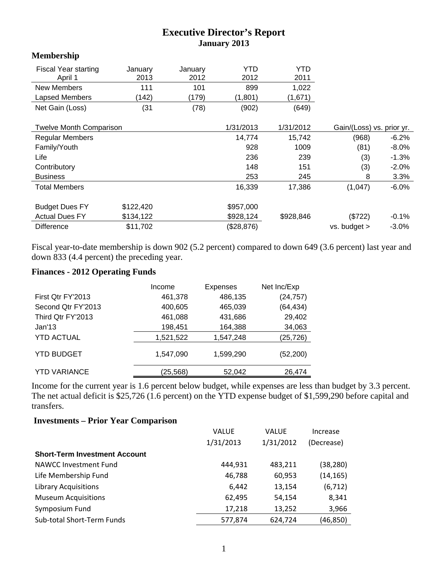## **Executive Director's Report January 2013**

## **Membership**

| <b>Fiscal Year starting</b><br>April 1 | January<br>2013 | Januarv<br>2012 | YTD<br>2012 | YTD<br>2011 |                           |          |
|----------------------------------------|-----------------|-----------------|-------------|-------------|---------------------------|----------|
| <b>New Members</b>                     | 111             | 101             | 899         | 1,022       |                           |          |
| Lapsed Members                         | (142)           | (179)           | (1,801)     | (1,671)     |                           |          |
| Net Gain (Loss)                        | (31)            | (78)            | (902)       | (649)       |                           |          |
|                                        |                 |                 |             |             |                           |          |
| <b>Twelve Month Comparison</b>         |                 |                 | 1/31/2013   | 1/31/2012   | Gain/(Loss) vs. prior yr. |          |
| <b>Regular Members</b>                 |                 |                 | 14,774      | 15,742      | (968)                     | $-6.2%$  |
| Family/Youth                           |                 |                 | 928         | 1009        | (81)                      | $-8.0%$  |
| Life                                   |                 |                 | 236         | 239         | (3)                       | $-1.3%$  |
| Contributory                           |                 |                 | 148         | 151         | (3)                       | $-2.0%$  |
| <b>Business</b>                        |                 |                 | 253         | 245         | 8                         | 3.3%     |
| <b>Total Members</b>                   |                 |                 | 16,339      | 17,386      | (1,047)                   | $-6.0%$  |
|                                        |                 |                 |             |             |                           |          |
| <b>Budget Dues FY</b>                  | \$122,420       |                 | \$957,000   |             |                           |          |
| <b>Actual Dues FY</b>                  | \$134,122       |                 | \$928,124   | \$928,846   | (\$722)                   | $-0.1%$  |
| <b>Difference</b>                      | \$11,702        |                 | (\$28,876)  |             | vs. budget >              | $-3.0\%$ |

Fiscal year-to-date membership is down 902 (5.2 percent) compared to down 649 (3.6 percent) last year and down 833 (4.4 percent) the preceding year.

## **Finances - 2012 Operating Funds**

|                     | Income    | <b>Expenses</b> | Net Inc/Exp |
|---------------------|-----------|-----------------|-------------|
| First Qtr FY'2013   | 461,378   | 486,135         | (24, 757)   |
| Second Qtr FY'2013  | 400,605   | 465,039         | (64, 434)   |
| Third Qtr FY'2013   | 461,088   | 431,686         | 29,402      |
| Jan'13              | 198,451   | 164,388         | 34,063      |
| <b>YTD ACTUAL</b>   | 1,521,522 | 1,547,248       | (25, 726)   |
| <b>YTD BUDGET</b>   | 1,547,090 | 1,599,290       | (52, 200)   |
| <b>YTD VARIANCE</b> | (25, 568) | 52,042          | 26,474      |

Income for the current year is 1.6 percent below budget, while expenses are less than budget by 3.3 percent. The net actual deficit is \$25,726 (1.6 percent) on the YTD expense budget of \$1,599,290 before capital and transfers.

## **Investments – Prior Year Comparison**

|                                      | <b>VALUE</b> | <b>VALUE</b> | Increase   |
|--------------------------------------|--------------|--------------|------------|
|                                      | 1/31/2013    | 1/31/2012    | (Decrease) |
| <b>Short-Term Investment Account</b> |              |              |            |
| NAWCC Investment Fund                | 444,931      | 483,211      | (38, 280)  |
| Life Membership Fund                 | 46,788       | 60,953       | (14, 165)  |
| <b>Library Acquisitions</b>          | 6,442        | 13,154       | (6, 712)   |
| <b>Museum Acquisitions</b>           | 62,495       | 54,154       | 8,341      |
| Symposium Fund                       | 17,218       | 13,252       | 3,966      |
| Sub-total Short-Term Funds           | 577,874      | 624,724      | (46,850)   |